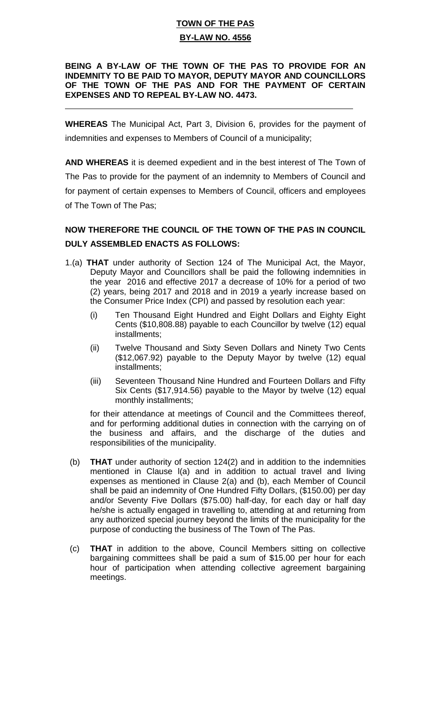## **TOWN OF THE PAS BY-LAW NO. 4556**

### **BEING A BY-LAW OF THE TOWN OF THE PAS TO PROVIDE FOR AN INDEMNITY TO BE PAID TO MAYOR, DEPUTY MAYOR AND COUNCILLORS OF THE TOWN OF THE PAS AND FOR THE PAYMENT OF CERTAIN EXPENSES AND TO REPEAL BY-LAW NO. 4473.**

**WHEREAS** The Municipal Act, Part 3, Division 6, provides for the payment of indemnities and expenses to Members of Council of a municipality;

 $\overline{a}$ 

**AND WHEREAS** it is deemed expedient and in the best interest of The Town of The Pas to provide for the payment of an indemnity to Members of Council and for payment of certain expenses to Members of Council, officers and employees of The Town of The Pas;

# **NOW THEREFORE THE COUNCIL OF THE TOWN OF THE PAS IN COUNCIL DULY ASSEMBLED ENACTS AS FOLLOWS:**

- 1.(a) **THAT** under authority of Section 124 of The Municipal Act, the Mayor, Deputy Mayor and Councillors shall be paid the following indemnities in the year 2016 and effective 2017 a decrease of 10% for a period of two (2) years, being 2017 and 2018 and in 2019 a yearly increase based on the Consumer Price Index (CPI) and passed by resolution each year:
	- (i) Ten Thousand Eight Hundred and Eight Dollars and Eighty Eight Cents (\$10,808.88) payable to each Councillor by twelve (12) equal installments;
	- (ii) Twelve Thousand and Sixty Seven Dollars and Ninety Two Cents (\$12,067.92) payable to the Deputy Mayor by twelve (12) equal installments;
	- (iii) Seventeen Thousand Nine Hundred and Fourteen Dollars and Fifty Six Cents (\$17,914.56) payable to the Mayor by twelve (12) equal monthly installments;

for their attendance at meetings of Council and the Committees thereof, and for performing additional duties in connection with the carrying on of the business and affairs, and the discharge of the duties and responsibilities of the municipality.

- (b) **THAT** under authority of section 124(2) and in addition to the indemnities mentioned in Clause l(a) and in addition to actual travel and living expenses as mentioned in Clause 2(a) and (b), each Member of Council shall be paid an indemnity of One Hundred Fifty Dollars, (\$150.00) per day and/or Seventy Five Dollars (\$75.00) half-day, for each day or half day he/she is actually engaged in travelling to, attending at and returning from any authorized special journey beyond the limits of the municipality for the purpose of conducting the business of The Town of The Pas.
- (c) **THAT** in addition to the above, Council Members sitting on collective bargaining committees shall be paid a sum of \$15.00 per hour for each hour of participation when attending collective agreement bargaining meetings.